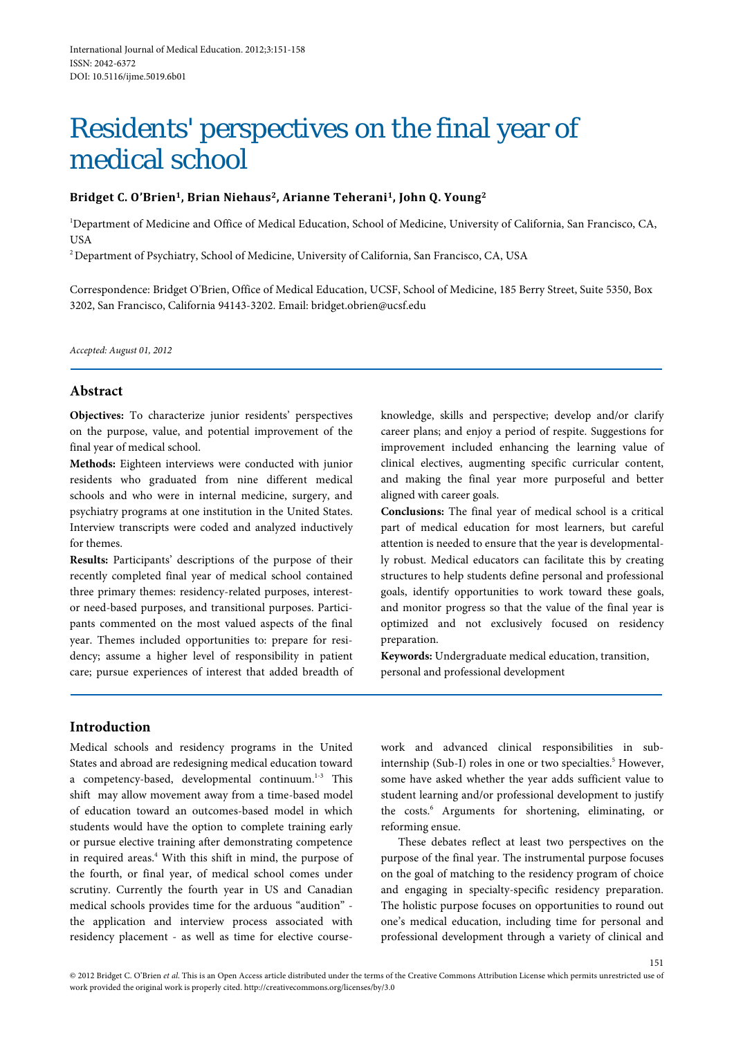# Residents' perspectives on the final year of medical school

# **Bridget C. O'Brien1, Brian Niehaus2, Arianne Teherani1, John Q. Young2**

1 Department of Medicine and Office of Medical Education, School of Medicine, University of California, San Francisco, CA, **USA** 

<sup>2</sup> Department of Psychiatry, School of Medicine, University of California, San Francisco, CA, USA

Correspondence: Bridget O'Brien, Office of Medical Education, UCSF, School of Medicine, 185 Berry Street, Suite 5350, Box 3202, San Francisco, California 94143-3202. Email: bridget.obrien@ucsf.edu

*Accepted: August 01, 2012*

# **Abstract**

**Objectives:** To characterize junior residents' perspectives on the purpose, value, and potential improvement of the final year of medical school.

**Methods:** Eighteen interviews were conducted with junior residents who graduated from nine different medical schools and who were in internal medicine, surgery, and psychiatry programs at one institution in the United States. Interview transcripts were coded and analyzed inductively for themes.

**Results:** Participants' descriptions of the purpose of their recently completed final year of medical school contained three primary themes: residency-related purposes, interestor need-based purposes, and transitional purposes. Participants commented on the most valued aspects of the final year. Themes included opportunities to: prepare for residency; assume a higher level of responsibility in patient care; pursue experiences of interest that added breadth of knowledge, skills and perspective; develop and/or clarify career plans; and enjoy a period of respite. Suggestions for improvement included enhancing the learning value of clinical electives, augmenting specific curricular content, and making the final year more purposeful and better aligned with career goals.

**Conclusions:** The final year of medical school is a critical part of medical education for most learners, but careful attention is needed to ensure that the year is developmentally robust. Medical educators can facilitate this by creating structures to help students define personal and professional goals, identify opportunities to work toward these goals, and monitor progress so that the value of the final year is optimized and not exclusively focused on residency preparation.

**Keywords:** Undergraduate medical education, transition, personal and professional development

# **Introduction**

Medical schools and residency programs in the United States and abroad are redesigning medical education toward a competency-based, developmental continuum. $1-3$  This shift may allow movement away from a time-based model of education toward an outcomes-based model in which students would have the option to complete training early or pursue elective training after demonstrating competence in required areas.<sup>4</sup> With this shift in mind, the purpose of the fourth, or final year, of medical school comes under scrutiny. Currently the fourth year in US and Canadian medical schools provides time for the arduous "audition" the application and interview process associated with residency placement - as well as time for elective coursework and advanced clinical responsibilities in subinternship (Sub-I) roles in one or two specialties.<sup>5</sup> However, some have asked whether the year adds sufficient value to student learning and/or professional development to justify the costs.<sup>6</sup> Arguments for shortening, eliminating, or reforming ensue.

These debates reflect at least two perspectives on the purpose of the final year. The instrumental purpose focuses on the goal of matching to the residency program of choice and engaging in specialty-specific residency preparation. The holistic purpose focuses on opportunities to round out one's medical education, including time for personal and professional development through a variety of clinical and

151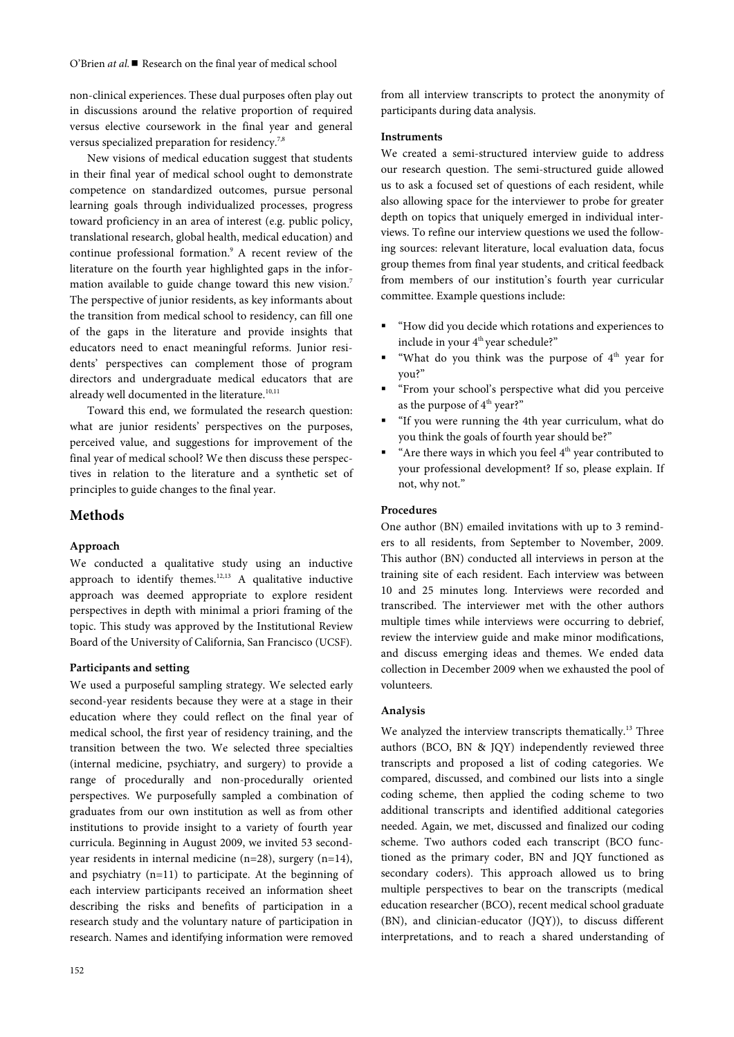non-clinical experiences. These dual purposes often play out in discussions around the relative proportion of required versus elective coursework in the final year and general versus specialized preparation for residency.<sup>7,8</sup>

New visions of medical education suggest that students in their final year of medical school ought to demonstrate competence on standardized outcomes, pursue personal learning goals through individualized processes, progress toward proficiency in an area of interest (e.g. public policy, translational research, global health, medical education) and continue professional formation.<sup>9</sup> A recent review of the literature on the fourth year highlighted gaps in the information available to guide change toward this new vision.<sup>7</sup> The perspective of junior residents, as key informants about the transition from medical school to residency, can fill one of the gaps in the literature and provide insights that educators need to enact meaningful reforms. Junior residents' perspectives can complement those of program directors and undergraduate medical educators that are already well documented in the literature. $10,11$ 

Toward this end, we formulated the research question: what are junior residents' perspectives on the purposes, perceived value, and suggestions for improvement of the final year of medical school? We then discuss these perspectives in relation to the literature and a synthetic set of principles to guide changes to the final year.

# **Methods**

#### **Approach**

We conducted a qualitative study using an inductive approach to identify themes.<sup>12,13</sup> A qualitative inductive approach was deemed appropriate to explore resident perspectives in depth with minimal a priori framing of the topic. This study was approved by the Institutional Review Board of the University of California, San Francisco (UCSF).

## **Participants and setting**

We used a purposeful sampling strategy. We selected early second-year residents because they were at a stage in their education where they could reflect on the final year of medical school, the first year of residency training, and the transition between the two. We selected three specialties (internal medicine, psychiatry, and surgery) to provide a range of procedurally and non-procedurally oriented perspectives. We purposefully sampled a combination of graduates from our own institution as well as from other institutions to provide insight to a variety of fourth year curricula. Beginning in August 2009, we invited 53 secondyear residents in internal medicine (n=28), surgery (n=14), and psychiatry (n=11) to participate. At the beginning of each interview participants received an information sheet describing the risks and benefits of participation in a research study and the voluntary nature of participation in research. Names and identifying information were removed from all interview transcripts to protect the anonymity of participants during data analysis.

#### **Instruments**

We created a semi-structured interview guide to address our research question. The semi-structured guide allowed us to ask a focused set of questions of each resident, while also allowing space for the interviewer to probe for greater depth on topics that uniquely emerged in individual interviews. To refine our interview questions we used the following sources: relevant literature, local evaluation data, focus group themes from final year students, and critical feedback from members of our institution's fourth year curricular committee. Example questions include:

- "How did you decide which rotations and experiences to include in your 4<sup>th</sup> year schedule?"
- "What do you think was the purpose of  $4<sup>th</sup>$  year for you?"
- "From your school's perspective what did you perceive as the purpose of  $4<sup>th</sup>$  year?"
- "If you were running the 4th year curriculum, what do you think the goals of fourth year should be?"
- "Are there ways in which you feel  $4<sup>th</sup>$  year contributed to your professional development? If so, please explain. If not, why not."

# **Procedures**

One author (BN) emailed invitations with up to 3 reminders to all residents, from September to November, 2009. This author (BN) conducted all interviews in person at the training site of each resident. Each interview was between 10 and 25 minutes long. Interviews were recorded and transcribed. The interviewer met with the other authors multiple times while interviews were occurring to debrief, review the interview guide and make minor modifications, and discuss emerging ideas and themes. We ended data collection in December 2009 when we exhausted the pool of volunteers.

## **Analysis**

We analyzed the interview transcripts thematically.<sup>13</sup> Three authors (BCO, BN & JQY) independently reviewed three transcripts and proposed a list of coding categories. We compared, discussed, and combined our lists into a single coding scheme, then applied the coding scheme to two additional transcripts and identified additional categories needed. Again, we met, discussed and finalized our coding scheme. Two authors coded each transcript (BCO functioned as the primary coder, BN and JQY functioned as secondary coders). This approach allowed us to bring multiple perspectives to bear on the transcripts (medical education researcher (BCO), recent medical school graduate (BN), and clinician-educator (JQY)), to discuss different interpretations, and to reach a shared understanding of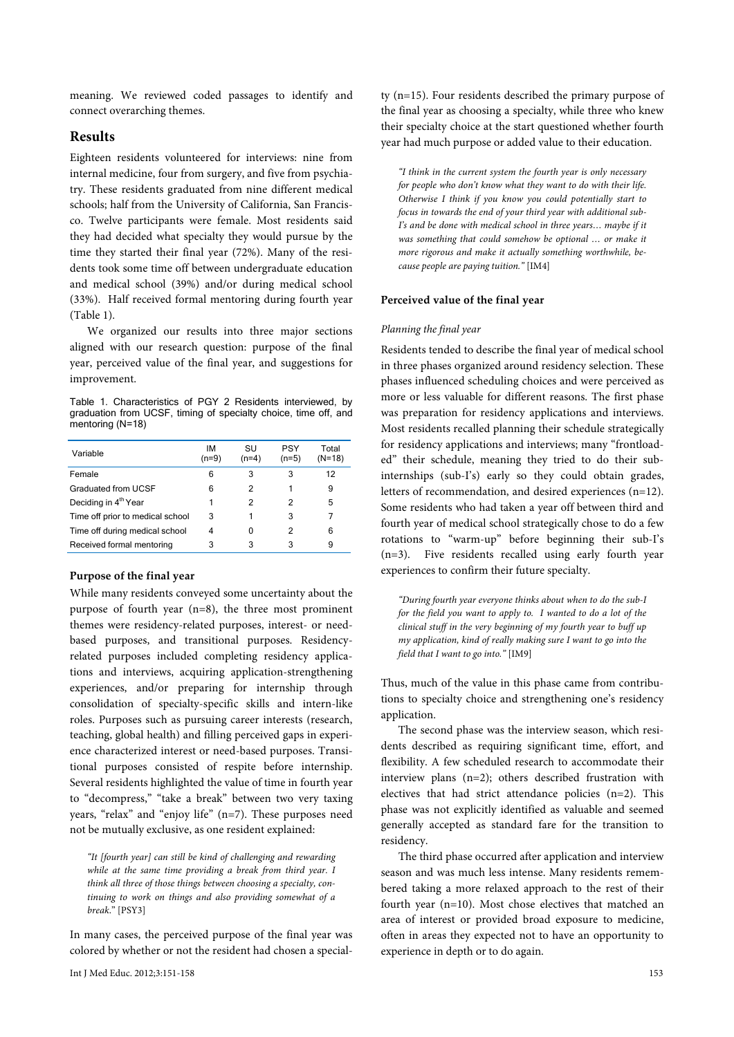meaning. We reviewed coded passages to identify and connect overarching themes.

# **Results**

Eighteen residents volunteered for interviews: nine from internal medicine, four from surgery, and five from psychiatry. These residents graduated from nine different medical schools; half from the University of California, San Francisco. Twelve participants were female. Most residents said they had decided what specialty they would pursue by the time they started their final year (72%). Many of the residents took some time off between undergraduate education and medical school (39%) and/or during medical school (33%). Half received formal mentoring during fourth year (Table 1).

We organized our results into three major sections aligned with our research question: purpose of the final year, perceived value of the final year, and suggestions for improvement.

Table 1. Characteristics of PGY 2 Residents interviewed, by graduation from UCSF, timing of specialty choice, time off, and mentoring (N=18)

| Variable                         | ΙM<br>$(n=9)$ | SU<br>$(n=4)$ | PSY<br>$(n=5)$ | Total<br>$(N=18)$ |
|----------------------------------|---------------|---------------|----------------|-------------------|
| Female                           | 6             | 3             | 3              | 12                |
| Graduated from UCSF              | 6             | 2             |                | 9                 |
| Deciding in 4 <sup>th</sup> Year |               | 2             | 2              | 5                 |
| Time off prior to medical school | 3             |               | 3              | 7                 |
| Time off during medical school   | 4             | O             |                | 6                 |
| Received formal mentoring        | 3             | 3             |                | 9                 |
|                                  |               |               |                |                   |

## **Purpose of the final year**

While many residents conveyed some uncertainty about the purpose of fourth year (n=8), the three most prominent themes were residency-related purposes, interest- or needbased purposes, and transitional purposes. Residencyrelated purposes included completing residency applications and interviews, acquiring application-strengthening experiences, and/or preparing for internship through consolidation of specialty-specific skills and intern-like roles. Purposes such as pursuing career interests (research, teaching, global health) and filling perceived gaps in experience characterized interest or need-based purposes. Transitional purposes consisted of respite before internship. Several residents highlighted the value of time in fourth year to "decompress," "take a break" between two very taxing years, "relax" and "enjoy life" (n=7). These purposes need not be mutually exclusive, as one resident explained:

*"It [fourth year] can still be kind of challenging and rewarding while at the same time providing a break from third year. I think all three of those things between choosing a specialty, continuing to work on things and also providing somewhat of a break*." [PSY3]

In many cases, the perceived purpose of the final year was colored by whether or not the resident had chosen a specialty (n=15). Four residents described the primary purpose of the final year as choosing a specialty, while three who knew their specialty choice at the start questioned whether fourth year had much purpose or added value to their education.

*"I think in the current system the fourth year is only necessary for people who don't know what they want to do with their life. Otherwise I think if you know you could potentially start to focus in towards the end of your third year with additional sub-I's and be done with medical school in three years… maybe if it was something that could somehow be optional … or make it more rigorous and make it actually something worthwhile, because people are paying tuition."* [IM4]

#### **Perceived value of the final year**

#### *Planning the final year*

Residents tended to describe the final year of medical school in three phases organized around residency selection. These phases influenced scheduling choices and were perceived as more or less valuable for different reasons. The first phase was preparation for residency applications and interviews. Most residents recalled planning their schedule strategically for residency applications and interviews; many "frontloaded" their schedule, meaning they tried to do their subinternships (sub-I's) early so they could obtain grades, letters of recommendation, and desired experiences (n=12). Some residents who had taken a year off between third and fourth year of medical school strategically chose to do a few rotations to "warm-up" before beginning their sub-I's (n=3). Five residents recalled using early fourth year experiences to confirm their future specialty.

*"During fourth year everyone thinks about when to do the sub-I for the field you want to apply to. I wanted to do a lot of the clinical stuff in the very beginning of my fourth year to buff up my application, kind of really making sure I want to go into the field that I want to go into."* [IM9]

Thus, much of the value in this phase came from contributions to specialty choice and strengthening one's residency application.

The second phase was the interview season, which residents described as requiring significant time, effort, and flexibility. A few scheduled research to accommodate their interview plans (n=2); others described frustration with electives that had strict attendance policies (n=2). This phase was not explicitly identified as valuable and seemed generally accepted as standard fare for the transition to residency.

The third phase occurred after application and interview season and was much less intense. Many residents remembered taking a more relaxed approach to the rest of their fourth year (n=10). Most chose electives that matched an area of interest or provided broad exposure to medicine, often in areas they expected not to have an opportunity to experience in depth or to do again.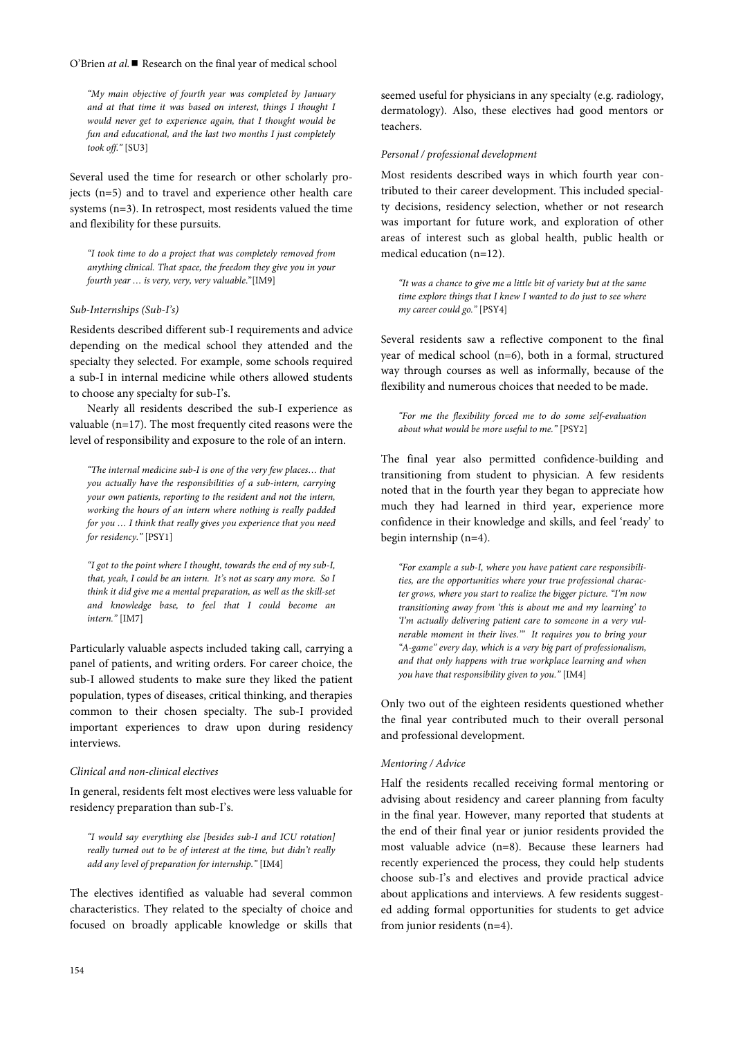#### O'Brien *at al.* ■ Research on the final year of medical school

*"My main objective of fourth year was completed by January and at that time it was based on interest, things I thought I would never get to experience again, that I thought would be fun and educational, and the last two months I just completely took off."* [SU3]

Several used the time for research or other scholarly projects (n=5) and to travel and experience other health care systems (n=3). In retrospect, most residents valued the time and flexibility for these pursuits.

*"I took time to do a project that was completely removed from anything clinical. That space, the freedom they give you in your fourth year … is very, very, very valuable*."[IM9]

## *Sub-Internships (Sub-I's)*

Residents described different sub-I requirements and advice depending on the medical school they attended and the specialty they selected. For example, some schools required a sub-I in internal medicine while others allowed students to choose any specialty for sub-I's.

Nearly all residents described the sub-I experience as valuable (n=17). The most frequently cited reasons were the level of responsibility and exposure to the role of an intern.

*"The internal medicine sub-I is one of the very few places… that you actually have the responsibilities of a sub-intern, carrying your own patients, reporting to the resident and not the intern, working the hours of an intern where nothing is really padded for you … I think that really gives you experience that you need for residency."* [PSY1]

*"I got to the point where I thought, towards the end of my sub-I, that, yeah, I could be an intern. It's not as scary any more. So I think it did give me a mental preparation, as well as the skill-set and knowledge base, to feel that I could become an intern."* [IM7]

Particularly valuable aspects included taking call, carrying a panel of patients, and writing orders. For career choice, the sub-I allowed students to make sure they liked the patient population, types of diseases, critical thinking, and therapies common to their chosen specialty. The sub-I provided important experiences to draw upon during residency interviews.

## *Clinical and non-clinical electives*

In general, residents felt most electives were less valuable for residency preparation than sub-I's.

*"I would say everything else [besides sub-I and ICU rotation] really turned out to be of interest at the time, but didn't really add any level of preparation for internship."* [IM4]

The electives identified as valuable had several common characteristics. They related to the specialty of choice and focused on broadly applicable knowledge or skills that seemed useful for physicians in any specialty (e.g. radiology, dermatology). Also, these electives had good mentors or teachers.

## *Personal / professional development*

Most residents described ways in which fourth year contributed to their career development. This included specialty decisions, residency selection, whether or not research was important for future work, and exploration of other areas of interest such as global health, public health or medical education (n=12).

*"It was a chance to give me a little bit of variety but at the same time explore things that I knew I wanted to do just to see where my career could go."* [PSY4]

Several residents saw a reflective component to the final year of medical school (n=6), both in a formal, structured way through courses as well as informally, because of the flexibility and numerous choices that needed to be made.

*"For me the flexibility forced me to do some self-evaluation about what would be more useful to me."* [PSY2]

The final year also permitted confidence-building and transitioning from student to physician. A few residents noted that in the fourth year they began to appreciate how much they had learned in third year, experience more confidence in their knowledge and skills, and feel 'ready' to begin internship (n=4).

*"For example a sub-I, where you have patient care responsibilities, are the opportunities where your true professional character grows, where you start to realize the bigger picture. "I'm now transitioning away from 'this is about me and my learning' to 'I'm actually delivering patient care to someone in a very vulnerable moment in their lives.'" It requires you to bring your "A-game" every day, which is a very big part of professionalism, and that only happens with true workplace learning and when you have that responsibility given to you."* [IM4]

Only two out of the eighteen residents questioned whether the final year contributed much to their overall personal and professional development.

## *Mentoring / Advice*

Half the residents recalled receiving formal mentoring or advising about residency and career planning from faculty in the final year. However, many reported that students at the end of their final year or junior residents provided the most valuable advice (n=8). Because these learners had recently experienced the process, they could help students choose sub-I's and electives and provide practical advice about applications and interviews. A few residents suggested adding formal opportunities for students to get advice from junior residents (n=4).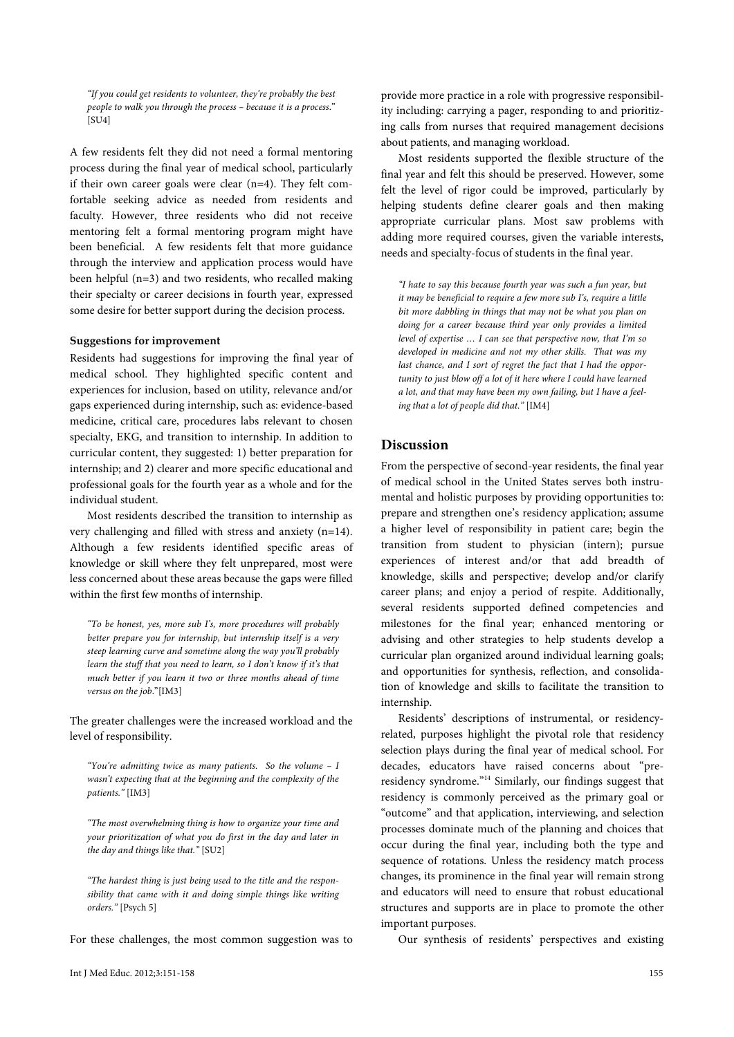*"If you could get residents to volunteer, they're probably the best people to walk you through the process – because it is a process*." [SU4]

A few residents felt they did not need a formal mentoring process during the final year of medical school, particularly if their own career goals were clear (n=4). They felt comfortable seeking advice as needed from residents and faculty. However, three residents who did not receive mentoring felt a formal mentoring program might have been beneficial. A few residents felt that more guidance through the interview and application process would have been helpful (n=3) and two residents, who recalled making their specialty or career decisions in fourth year, expressed some desire for better support during the decision process.

#### **Suggestions for improvement**

Residents had suggestions for improving the final year of medical school. They highlighted specific content and experiences for inclusion, based on utility, relevance and/or gaps experienced during internship, such as: evidence-based medicine, critical care, procedures labs relevant to chosen specialty, EKG, and transition to internship. In addition to curricular content, they suggested: 1) better preparation for internship; and 2) clearer and more specific educational and professional goals for the fourth year as a whole and for the individual student.

Most residents described the transition to internship as very challenging and filled with stress and anxiety (n=14). Although a few residents identified specific areas of knowledge or skill where they felt unprepared, most were less concerned about these areas because the gaps were filled within the first few months of internship.

*"To be honest, yes, more sub I's, more procedures will probably better prepare you for internship, but internship itself is a very steep learning curve and sometime along the way you'll probably learn the stuff that you need to learn, so I don't know if it's that much better if you learn it two or three months ahead of time versus on the job*."[IM3]

The greater challenges were the increased workload and the level of responsibility.

*"You're admitting twice as many patients. So the volume – I wasn't expecting that at the beginning and the complexity of the patients."* [IM3]

*"The most overwhelming thing is how to organize your time and your prioritization of what you do first in the day and later in the day and things like that."* [SU2]

*"The hardest thing is just being used to the title and the responsibility that came with it and doing simple things like writing orders."* [Psych 5]

For these challenges, the most common suggestion was to

Int J Med Educ. 2012;3:151-158 155

provide more practice in a role with progressive responsibility including: carrying a pager, responding to and prioritizing calls from nurses that required management decisions about patients, and managing workload.

Most residents supported the flexible structure of the final year and felt this should be preserved. However, some felt the level of rigor could be improved, particularly by helping students define clearer goals and then making appropriate curricular plans. Most saw problems with adding more required courses, given the variable interests, needs and specialty-focus of students in the final year.

*"I hate to say this because fourth year was such a fun year, but it may be beneficial to require a few more sub I's, require a little bit more dabbling in things that may not be what you plan on doing for a career because third year only provides a limited level of expertise … I can see that perspective now, that I'm so developed in medicine and not my other skills. That was my last chance, and I sort of regret the fact that I had the opportunity to just blow off a lot of it here where I could have learned a lot, and that may have been my own failing, but I have a feeling that a lot of people did that."* [IM4]

## **Discussion**

From the perspective of second-year residents, the final year of medical school in the United States serves both instrumental and holistic purposes by providing opportunities to: prepare and strengthen one's residency application; assume a higher level of responsibility in patient care; begin the transition from student to physician (intern); pursue experiences of interest and/or that add breadth of knowledge, skills and perspective; develop and/or clarify career plans; and enjoy a period of respite. Additionally, several residents supported defined competencies and milestones for the final year; enhanced mentoring or advising and other strategies to help students develop a curricular plan organized around individual learning goals; and opportunities for synthesis, reflection, and consolidation of knowledge and skills to facilitate the transition to internship.

Residents' descriptions of instrumental, or residencyrelated, purposes highlight the pivotal role that residency selection plays during the final year of medical school. For decades, educators have raised concerns about "preresidency syndrome."<sup>14</sup> Similarly, our findings suggest that residency is commonly perceived as the primary goal or "outcome" and that application, interviewing, and selection processes dominate much of the planning and choices that occur during the final year, including both the type and sequence of rotations. Unless the residency match process changes, its prominence in the final year will remain strong and educators will need to ensure that robust educational structures and supports are in place to promote the other important purposes.

Our synthesis of residents' perspectives and existing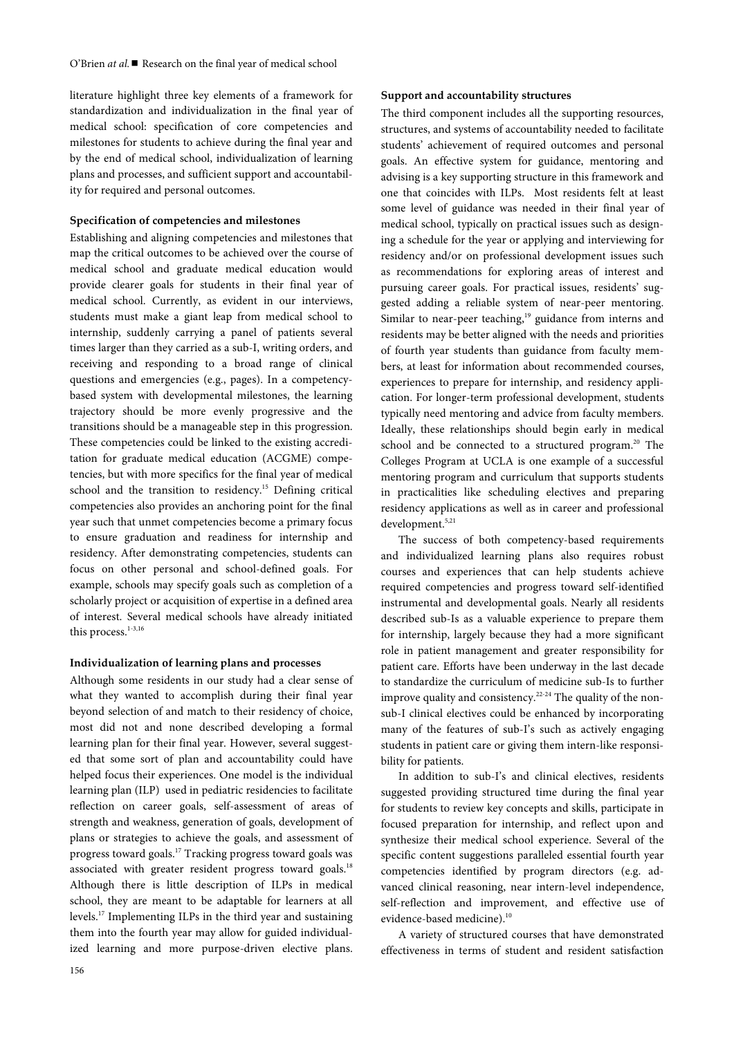literature highlight three key elements of a framework for standardization and individualization in the final year of medical school: specification of core competencies and milestones for students to achieve during the final year and by the end of medical school, individualization of learning plans and processes, and sufficient support and accountability for required and personal outcomes.

## **Specification of competencies and milestones**

Establishing and aligning competencies and milestones that map the critical outcomes to be achieved over the course of medical school and graduate medical education would provide clearer goals for students in their final year of medical school. Currently, as evident in our interviews, students must make a giant leap from medical school to internship, suddenly carrying a panel of patients several times larger than they carried as a sub-I, writing orders, and receiving and responding to a broad range of clinical questions and emergencies (e.g., pages). In a competencybased system with developmental milestones, the learning trajectory should be more evenly progressive and the transitions should be a manageable step in this progression. These competencies could be linked to the existing accreditation for graduate medical education (ACGME) competencies, but with more specifics for the final year of medical school and the transition to residency.<sup>15</sup> Defining critical competencies also provides an anchoring point for the final year such that unmet competencies become a primary focus to ensure graduation and readiness for internship and residency. After demonstrating competencies, students can focus on other personal and school-defined goals. For example, schools may specify goals such as completion of a scholarly project or acquisition of expertise in a defined area of interest. Several medical schools have already initiated this process. $1-3,16$ 

#### **Individualization of learning plans and processes**

Although some residents in our study had a clear sense of what they wanted to accomplish during their final year beyond selection of and match to their residency of choice, most did not and none described developing a formal learning plan for their final year. However, several suggested that some sort of plan and accountability could have helped focus their experiences. One model is the individual learning plan (ILP) used in pediatric residencies to facilitate reflection on career goals, self-assessment of areas of strength and weakness, generation of goals, development of plans or strategies to achieve the goals, and assessment of progress toward goals.<sup>17</sup> Tracking progress toward goals was associated with greater resident progress toward goals.<sup>18</sup> Although there is little description of ILPs in medical school, they are meant to be adaptable for learners at all levels.<sup>17</sup> Implementing ILPs in the third year and sustaining them into the fourth year may allow for guided individualized learning and more purpose-driven elective plans.

#### **Support and accountability structures**

The third component includes all the supporting resources, structures, and systems of accountability needed to facilitate students' achievement of required outcomes and personal goals. An effective system for guidance, mentoring and advising is a key supporting structure in this framework and one that coincides with ILPs. Most residents felt at least some level of guidance was needed in their final year of medical school, typically on practical issues such as designing a schedule for the year or applying and interviewing for residency and/or on professional development issues such as recommendations for exploring areas of interest and pursuing career goals. For practical issues, residents' suggested adding a reliable system of near-peer mentoring. Similar to near-peer teaching, $19$  guidance from interns and residents may be better aligned with the needs and priorities of fourth year students than guidance from faculty members, at least for information about recommended courses, experiences to prepare for internship, and residency application. For longer-term professional development, students typically need mentoring and advice from faculty members. Ideally, these relationships should begin early in medical school and be connected to a structured program.<sup>20</sup> The Colleges Program at UCLA is one example of a successful mentoring program and curriculum that supports students in practicalities like scheduling electives and preparing residency applications as well as in career and professional development.<sup>5,21</sup>

The success of both competency-based requirements and individualized learning plans also requires robust courses and experiences that can help students achieve required competencies and progress toward self-identified instrumental and developmental goals. Nearly all residents described sub-Is as a valuable experience to prepare them for internship, largely because they had a more significant role in patient management and greater responsibility for patient care. Efforts have been underway in the last decade to standardize the curriculum of medicine sub-Is to further improve quality and consistency.<sup>22-24</sup> The quality of the nonsub-I clinical electives could be enhanced by incorporating many of the features of sub-I's such as actively engaging students in patient care or giving them intern-like responsibility for patients.

In addition to sub-I's and clinical electives, residents suggested providing structured time during the final year for students to review key concepts and skills, participate in focused preparation for internship, and reflect upon and synthesize their medical school experience. Several of the specific content suggestions paralleled essential fourth year competencies identified by program directors (e.g. advanced clinical reasoning, near intern-level independence, self-reflection and improvement, and effective use of evidence-based medicine).<sup>10</sup>

A variety of structured courses that have demonstrated effectiveness in terms of student and resident satisfaction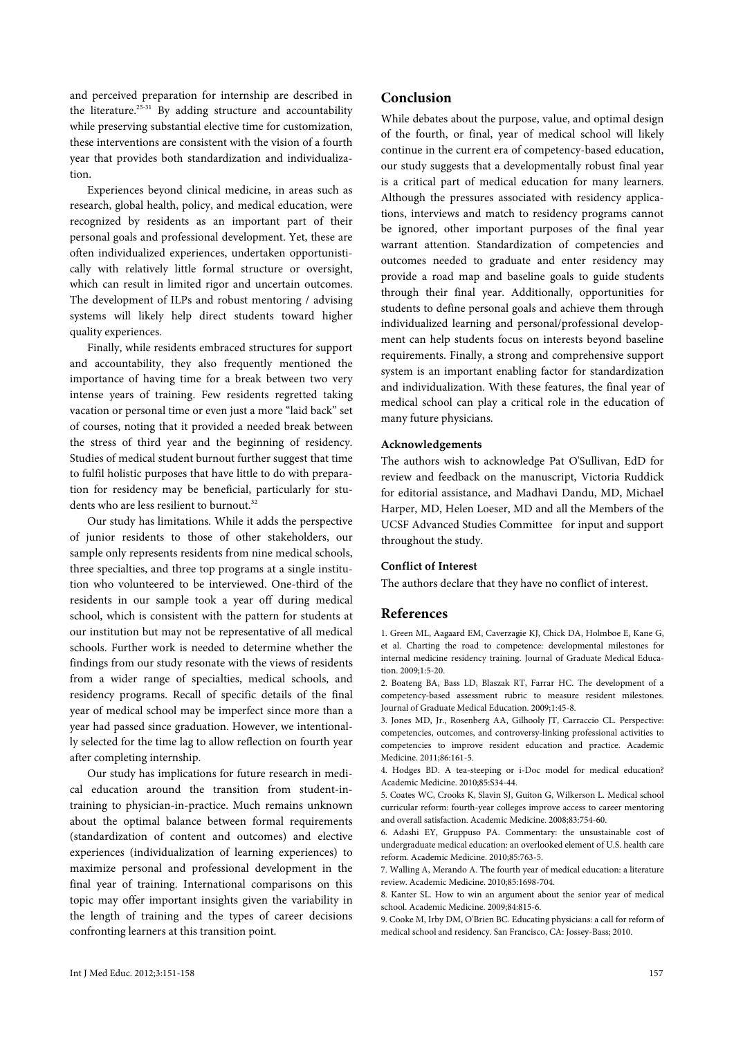and perceived preparation for internship are described in the literature.<sup>25-31</sup> By adding structure and accountability while preserving substantial elective time for customization, these interventions are consistent with the vision of a fourth year that provides both standardization and individualization.

Experiences beyond clinical medicine, in areas such as research, global health, policy, and medical education, were recognized by residents as an important part of their personal goals and professional development. Yet, these are often individualized experiences, undertaken opportunistically with relatively little formal structure or oversight, which can result in limited rigor and uncertain outcomes. The development of ILPs and robust mentoring / advising systems will likely help direct students toward higher quality experiences.

Finally, while residents embraced structures for support and accountability, they also frequently mentioned the importance of having time for a break between two very intense years of training. Few residents regretted taking vacation or personal time or even just a more "laid back" set of courses, noting that it provided a needed break between the stress of third year and the beginning of residency. Studies of medical student burnout further suggest that time to fulfil holistic purposes that have little to do with preparation for residency may be beneficial, particularly for students who are less resilient to burnout.<sup>32</sup>

Our study has limitations. While it adds the perspective of junior residents to those of other stakeholders, our sample only represents residents from nine medical schools, three specialties, and three top programs at a single institution who volunteered to be interviewed. One-third of the residents in our sample took a year off during medical school, which is consistent with the pattern for students at our institution but may not be representative of all medical schools. Further work is needed to determine whether the findings from our study resonate with the views of residents from a wider range of specialties, medical schools, and residency programs. Recall of specific details of the final year of medical school may be imperfect since more than a year had passed since graduation. However, we intentionally selected for the time lag to allow reflection on fourth year after completing internship.

Our study has implications for future research in medical education around the transition from student-intraining to physician-in-practice. Much remains unknown about the optimal balance between formal requirements (standardization of content and outcomes) and elective experiences (individualization of learning experiences) to maximize personal and professional development in the final year of training. International comparisons on this topic may offer important insights given the variability in the length of training and the types of career decisions confronting learners at this transition point.

# **Conclusion**

While debates about the purpose, value, and optimal design of the fourth, or final, year of medical school will likely continue in the current era of competency-based education, our study suggests that a developmentally robust final year is a critical part of medical education for many learners. Although the pressures associated with residency applications, interviews and match to residency programs cannot be ignored, other important purposes of the final year warrant attention. Standardization of competencies and outcomes needed to graduate and enter residency may provide a road map and baseline goals to guide students through their final year. Additionally, opportunities for students to define personal goals and achieve them through individualized learning and personal/professional development can help students focus on interests beyond baseline requirements. Finally, a strong and comprehensive support system is an important enabling factor for standardization and individualization. With these features, the final year of medical school can play a critical role in the education of many future physicians.

#### **Acknowledgements**

The authors wish to acknowledge Pat O'Sullivan, EdD for review and feedback on the manuscript, Victoria Ruddick for editorial assistance, and Madhavi Dandu, MD, Michael Harper, MD, Helen Loeser, MD and all the Members of the UCSF Advanced Studies Committee for input and support throughout the study.

#### **Conflict of Interest**

The authors declare that they have no conflict of interest.

#### **References**

1. Green ML, Aagaard EM, Caverzagie KJ, Chick DA, Holmboe E, Kane G, et al. Charting the road to competence: developmental milestones for internal medicine residency training. Journal of Graduate Medical Education. 2009;1:5-20.

2. Boateng BA, Bass LD, Blaszak RT, Farrar HC. The development of a competency-based assessment rubric to measure resident milestones. Journal of Graduate Medical Education. 2009;1:45-8.

3. Jones MD, Jr., Rosenberg AA, Gilhooly JT, Carraccio CL. Perspective: competencies, outcomes, and controversy-linking professional activities to competencies to improve resident education and practice. Academic Medicine. 2011;86:161-5.

4. Hodges BD. A tea-steeping or i-Doc model for medical education? Academic Medicine. 2010;85:S34-44.

5. Coates WC, Crooks K, Slavin SJ, Guiton G, Wilkerson L. Medical school curricular reform: fourth-year colleges improve access to career mentoring and overall satisfaction. Academic Medicine. 2008;83:754-60.

6. Adashi EY, Gruppuso PA. Commentary: the unsustainable cost of undergraduate medical education: an overlooked element of U.S. health care reform. Academic Medicine. 2010;85:763-5.

7. Walling A, Merando A. The fourth year of medical education: a literature review. Academic Medicine. 2010;85:1698-704.

8. Kanter SL. How to win an argument about the senior year of medical school. Academic Medicine. 2009;84:815-6.

9. Cooke M, Irby DM, O'Brien BC. Educating physicians: a call for reform of medical school and residency. San Francisco, CA: Jossey-Bass; 2010.